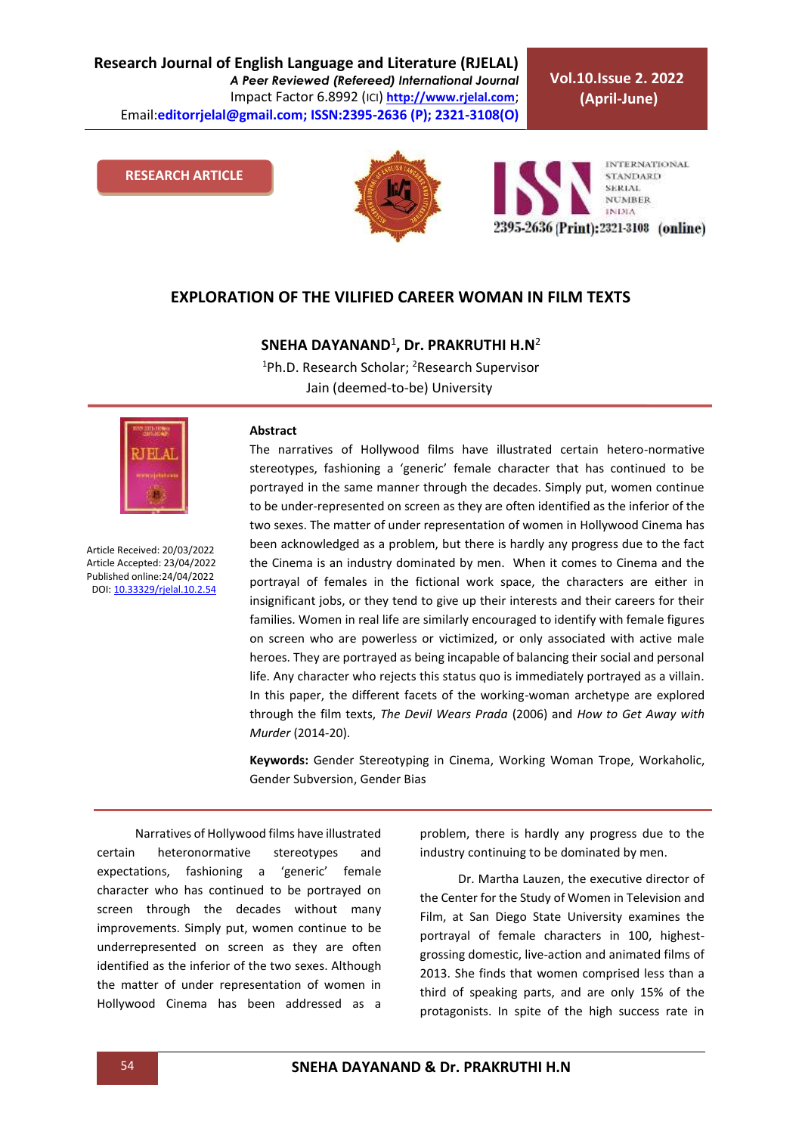**Vol.10.Issue 2. 2022 (April-June)**

#### **RESEARCH ARTICLE**





#### **EXPLORATION OF THE VILIFIED CAREER WOMAN IN FILM TEXTS**

### **SNEHA DAYANAND**<sup>1</sup> **, Dr. PRAKRUTHI H.N**<sup>2</sup>

<sup>1</sup>Ph.D. Research Scholar; <sup>2</sup>Research Supervisor Jain (deemed-to-be) University



Article Received: 20/03/2022 Article Accepted: 23/04/2022 Published online:24/04/2022 DOI[: 10.33329/rjelal.10.2.5](http://www.rjelal.com/)4

#### **Abstract**

The narratives of Hollywood films have illustrated certain hetero-normative stereotypes, fashioning a 'generic' female character that has continued to be portrayed in the same manner through the decades. Simply put, women continue to be under-represented on screen as they are often identified as the inferior of the two sexes. The matter of under representation of women in Hollywood Cinema has been acknowledged as a problem, but there is hardly any progress due to the fact the Cinema is an industry dominated by men. When it comes to Cinema and the portrayal of females in the fictional work space, the characters are either in insignificant jobs, or they tend to give up their interests and their careers for their families. Women in real life are similarly encouraged to identify with female figures on screen who are powerless or victimized, or only associated with active male heroes. They are portrayed as being incapable of balancing their social and personal life. Any character who rejects this status quo is immediately portrayed as a villain. In this paper, the different facets of the working-woman archetype are explored through the film texts, *The Devil Wears Prada* (2006) and *How to Get Away with Murder* (2014-20).

**Keywords:** Gender Stereotyping in Cinema, Working Woman Trope, Workaholic, Gender Subversion, Gender Bias

Narratives of Hollywood films have illustrated certain heteronormative stereotypes and expectations, fashioning a 'generic' female character who has continued to be portrayed on screen through the decades without many improvements. Simply put, women continue to be underrepresented on screen as they are often identified as the inferior of the two sexes. Although the matter of under representation of women in Hollywood Cinema has been addressed as a problem, there is hardly any progress due to the industry continuing to be dominated by men.

Dr. Martha Lauzen, the executive director of the Center for the Study of Women in Television and Film, at San Diego State University examines the portrayal of female characters in 100, highestgrossing domestic, live-action and animated films of 2013. She finds that women comprised less than a third of speaking parts, and are only 15% of the protagonists. In spite of the high success rate in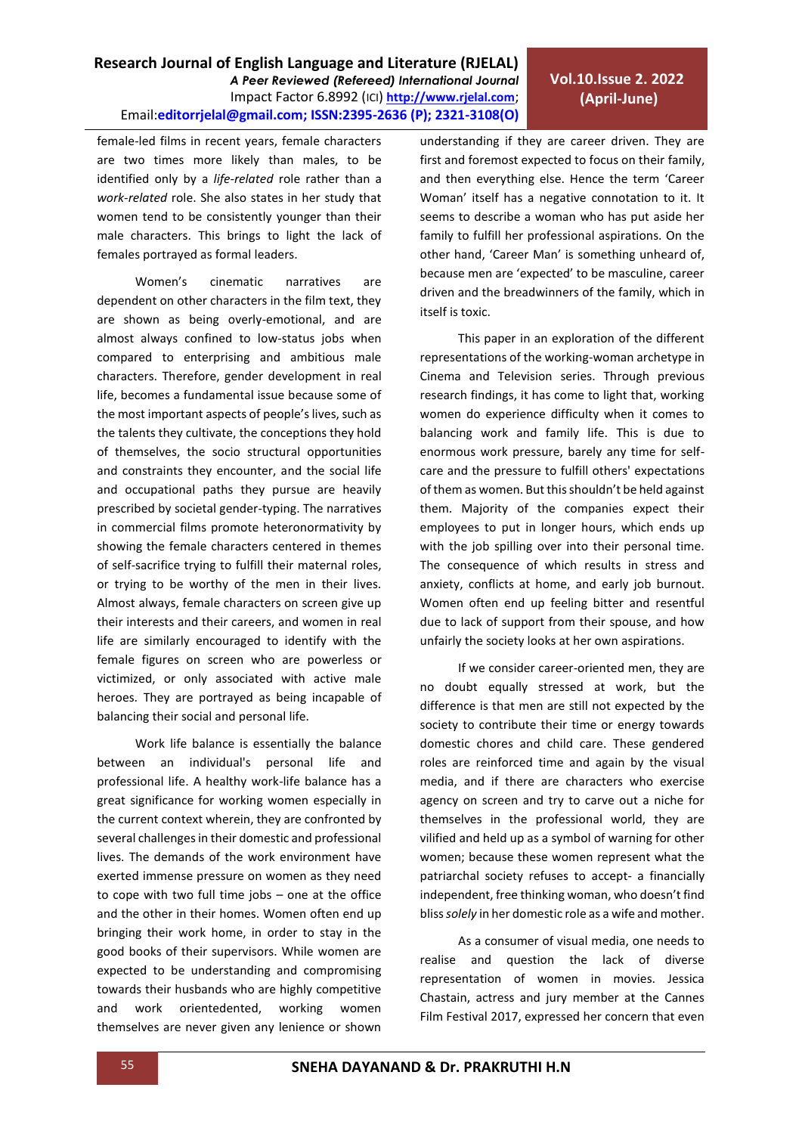*A Peer Reviewed (Refereed) International Journal* Impact Factor 6.8992 (ICI) **[http://www.rjelal.com](http://www.rjelal.com/)**;

female-led films in recent years, female characters are two times more likely than males, to be identified only by a *life-related* role rather than a *work-related* role. She also states in her study that women tend to be consistently younger than their male characters. This brings to light the lack of females portrayed as formal leaders.

**Research Journal of English Language and Literature (RJELAL)**

Email:**editorrjelal@gmail.com; ISSN:2395-2636 (P); 2321-3108(O)** 

Women's cinematic narratives are dependent on other characters in the film text, they are shown as being overly-emotional, and are almost always confined to low-status jobs when compared to enterprising and ambitious male characters. Therefore, gender development in real life, becomes a fundamental issue because some of the most important aspects of people's lives, such as the talents they cultivate, the conceptions they hold of themselves, the socio structural opportunities and constraints they encounter, and the social life and occupational paths they pursue are heavily prescribed by societal gender-typing. The narratives in commercial films promote heteronormativity by showing the female characters centered in themes of self-sacrifice trying to fulfill their maternal roles, or trying to be worthy of the men in their lives. Almost always, female characters on screen give up their interests and their careers, and women in real life are similarly encouraged to identify with the female figures on screen who are powerless or victimized, or only associated with active male heroes. They are portrayed as being incapable of balancing their social and personal life.

Work life balance is essentially the balance between an individual's personal life and professional life. A healthy work-life balance has a great significance for working women especially in the current context wherein, they are confronted by several challenges in their domestic and professional lives. The demands of the work environment have exerted immense pressure on women as they need to cope with two full time jobs – one at the office and the other in their homes. Women often end up bringing their work home, in order to stay in the good books of their supervisors. While women are expected to be understanding and compromising towards their husbands who are highly competitive and work orientedented, working women themselves are never given any lenience or shown understanding if they are career driven. They are first and foremost expected to focus on their family, and then everything else. Hence the term 'Career Woman' itself has a negative connotation to it. It seems to describe a woman who has put aside her family to fulfill her professional aspirations. On the other hand, 'Career Man' is something unheard of, because men are 'expected' to be masculine, career driven and the breadwinners of the family, which in itself is toxic.

This paper in an exploration of the different representations of the working-woman archetype in Cinema and Television series. Through previous research findings, it has come to light that, working women do experience difficulty when it comes to balancing work and family life. This is due to enormous work pressure, barely any time for selfcare and the pressure to fulfill others' expectations of them as women. But this shouldn't be held against them. Majority of the companies expect their employees to put in longer hours, which ends up with the job spilling over into their personal time. The consequence of which results in stress and anxiety, conflicts at home, and early job burnout. Women often end up feeling bitter and resentful due to lack of support from their spouse, and how unfairly the society looks at her own aspirations.

If we consider career-oriented men, they are no doubt equally stressed at work, but the difference is that men are still not expected by the society to contribute their time or energy towards domestic chores and child care. These gendered roles are reinforced time and again by the visual media, and if there are characters who exercise agency on screen and try to carve out a niche for themselves in the professional world, they are vilified and held up as a symbol of warning for other women; because these women represent what the patriarchal society refuses to accept- a financially independent, free thinking woman, who doesn't find bliss *solely* in her domestic role as a wife and mother.

As a consumer of visual media, one needs to realise and question the lack of diverse representation of women in movies. Jessica Chastain, actress and jury member at the Cannes Film Festival 2017, expressed her concern that even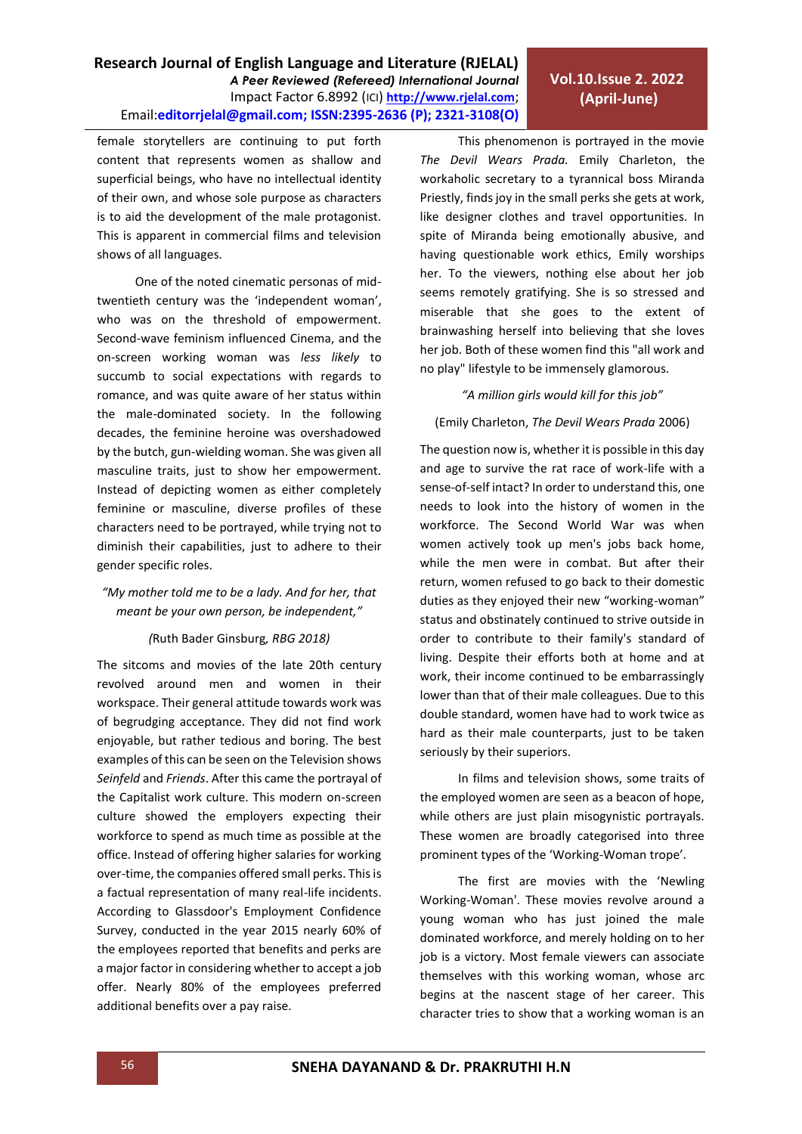female storytellers are continuing to put forth content that represents women as shallow and superficial beings, who have no intellectual identity of their own, and whose sole purpose as characters is to aid the development of the male protagonist. This is apparent in commercial films and television shows of all languages.

One of the noted cinematic personas of midtwentieth century was the 'independent woman', who was on the threshold of empowerment. Second-wave feminism influenced Cinema, and the on-screen working woman was *less likely* to succumb to social expectations with regards to romance, and was quite aware of her status within the male-dominated society. In the following decades, the feminine heroine was overshadowed by the butch, gun-wielding woman. She was given all masculine traits, just to show her empowerment. Instead of depicting women as either completely feminine or masculine, diverse profiles of these characters need to be portrayed, while trying not to diminish their capabilities, just to adhere to their gender specific roles.

### *"My mother told me to be a lady. And for her, that meant be your own person, be independent,"*

### *(*Ruth Bader Ginsburg*, RBG 2018)*

The sitcoms and movies of the late 20th century revolved around men and women in their workspace. Their general attitude towards work was of begrudging acceptance. They did not find work enjoyable, but rather tedious and boring. The best examples of this can be seen on the Television shows *Seinfeld* and *Friends*. After this came the portrayal of the Capitalist work culture. This modern on-screen culture showed the employers expecting their workforce to spend as much time as possible at the office. Instead of offering higher salaries for working over-time, the companies offered small perks. This is a factual representation of many real-life incidents. According to Glassdoor's Employment Confidence Survey, conducted in the year 2015 nearly 60% of the employees reported that benefits and perks are a major factor in considering whether to accept a job offer. Nearly 80% of the employees preferred additional benefits over a pay raise.

This phenomenon is portrayed in the movie *The Devil Wears Prada.* Emily Charleton, the workaholic secretary to a tyrannical boss Miranda Priestly, finds joy in the small perks she gets at work, like designer clothes and travel opportunities. In spite of Miranda being emotionally abusive, and having questionable work ethics, Emily worships her. To the viewers, nothing else about her job seems remotely gratifying. She is so stressed and miserable that she goes to the extent of brainwashing herself into believing that she loves her job. Both of these women find this "all work and no play" lifestyle to be immensely glamorous.

#### *"A million girls would kill for this job"*

#### (Emily Charleton, *The Devil Wears Prada* 2006)

The question now is, whether it is possible in this day and age to survive the rat race of work-life with a sense-of-self intact? In order to understand this, one needs to look into the history of women in the workforce. The Second World War was when women actively took up men's jobs back home, while the men were in combat. But after their return, women refused to go back to their domestic duties as they enjoyed their new "working-woman" status and obstinately continued to strive outside in order to contribute to their family's standard of living. Despite their efforts both at home and at work, their income continued to be embarrassingly lower than that of their male colleagues. Due to this double standard, women have had to work twice as hard as their male counterparts, just to be taken seriously by their superiors.

In films and television shows, some traits of the employed women are seen as a beacon of hope, while others are just plain misogynistic portrayals. These women are broadly categorised into three prominent types of the 'Working-Woman trope'.

The first are movies with the 'Newling Working-Woman'. These movies revolve around a young woman who has just joined the male dominated workforce, and merely holding on to her job is a victory. Most female viewers can associate themselves with this working woman, whose arc begins at the nascent stage of her career. This character tries to show that a working woman is an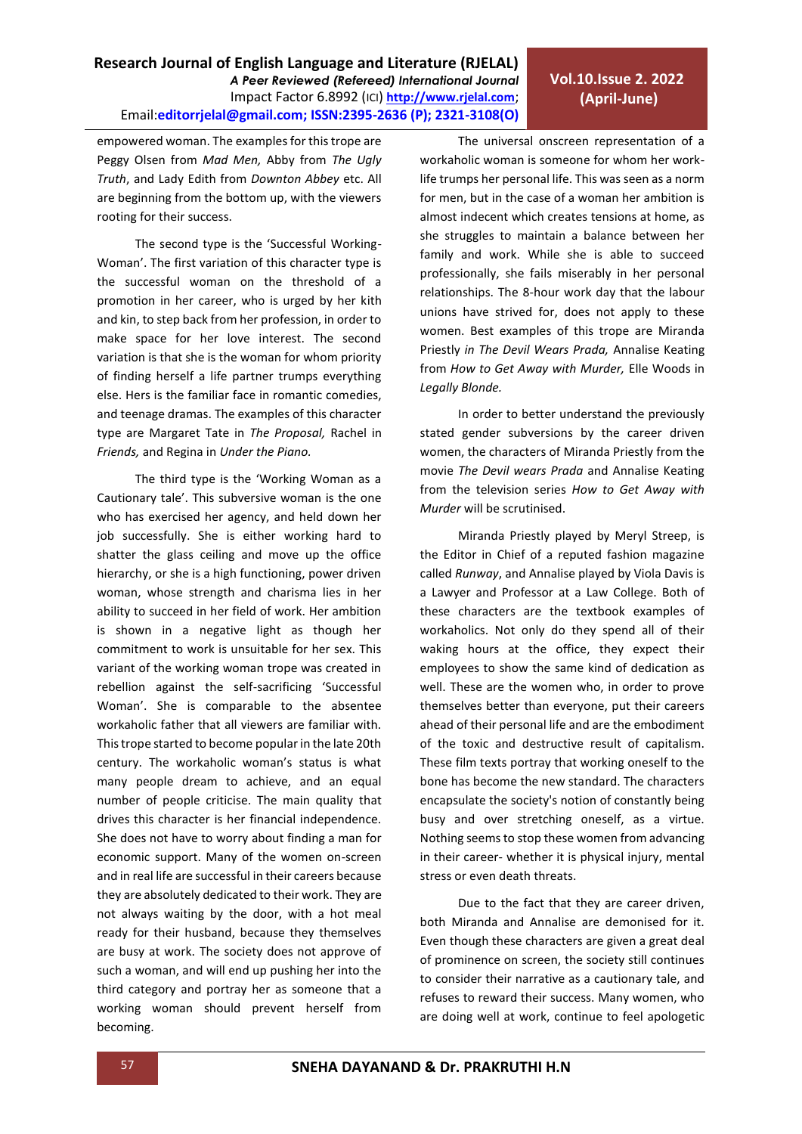# **Vol.10.Issue 2. 2022 (April-June)**

empowered woman. The examples for this trope are Peggy Olsen from *Mad Men,* Abby from *The Ugly Truth*, and Lady Edith from *Downton Abbey* etc. All are beginning from the bottom up, with the viewers rooting for their success. The second type is the 'Successful Working-

Woman'. The first variation of this character type is the successful woman on the threshold of a promotion in her career, who is urged by her kith and kin, to step back from her profession, in order to make space for her love interest. The second variation is that she is the woman for whom priority of finding herself a life partner trumps everything else. Hers is the familiar face in romantic comedies, and teenage dramas. The examples of this character type are Margaret Tate in *The Proposal,* Rachel in *Friends,* and Regina in *Under the Piano.* 

The third type is the 'Working Woman as a Cautionary tale'. This subversive woman is the one who has exercised her agency, and held down her job successfully. She is either working hard to shatter the glass ceiling and move up the office hierarchy, or she is a high functioning, power driven woman, whose strength and charisma lies in her ability to succeed in her field of work. Her ambition is shown in a negative light as though her commitment to work is unsuitable for her sex. This variant of the working woman trope was created in rebellion against the self-sacrificing 'Successful Woman'. She is comparable to the absentee workaholic father that all viewers are familiar with. This trope started to become popular in the late 20th century. The workaholic woman's status is what many people dream to achieve, and an equal number of people criticise. The main quality that drives this character is her financial independence. She does not have to worry about finding a man for economic support. Many of the women on-screen and in real life are successful in their careers because they are absolutely dedicated to their work. They are not always waiting by the door, with a hot meal ready for their husband, because they themselves are busy at work. The society does not approve of such a woman, and will end up pushing her into the third category and portray her as someone that a working woman should prevent herself from becoming.

The universal onscreen representation of a workaholic woman is someone for whom her worklife trumps her personal life. This was seen as a norm for men, but in the case of a woman her ambition is almost indecent which creates tensions at home, as she struggles to maintain a balance between her family and work. While she is able to succeed professionally, she fails miserably in her personal relationships. The 8-hour work day that the labour unions have strived for, does not apply to these women. Best examples of this trope are Miranda Priestly *in The Devil Wears Prada,* Annalise Keating from *How to Get Away with Murder,* Elle Woods in *Legally Blonde.* 

In order to better understand the previously stated gender subversions by the career driven women, the characters of Miranda Priestly from the movie *The Devil wears Prada* and Annalise Keating from the television series *How to Get Away with Murder* will be scrutinised.

Miranda Priestly played by Meryl Streep, is the Editor in Chief of a reputed fashion magazine called *Runway*, and Annalise played by Viola Davis is a Lawyer and Professor at a Law College. Both of these characters are the textbook examples of workaholics. Not only do they spend all of their waking hours at the office, they expect their employees to show the same kind of dedication as well. These are the women who, in order to prove themselves better than everyone, put their careers ahead of their personal life and are the embodiment of the toxic and destructive result of capitalism. These film texts portray that working oneself to the bone has become the new standard. The characters encapsulate the society's notion of constantly being busy and over stretching oneself, as a virtue. Nothing seems to stop these women from advancing in their career- whether it is physical injury, mental stress or even death threats.

Due to the fact that they are career driven, both Miranda and Annalise are demonised for it. Even though these characters are given a great deal of prominence on screen, the society still continues to consider their narrative as a cautionary tale, and refuses to reward their success. Many women, who are doing well at work, continue to feel apologetic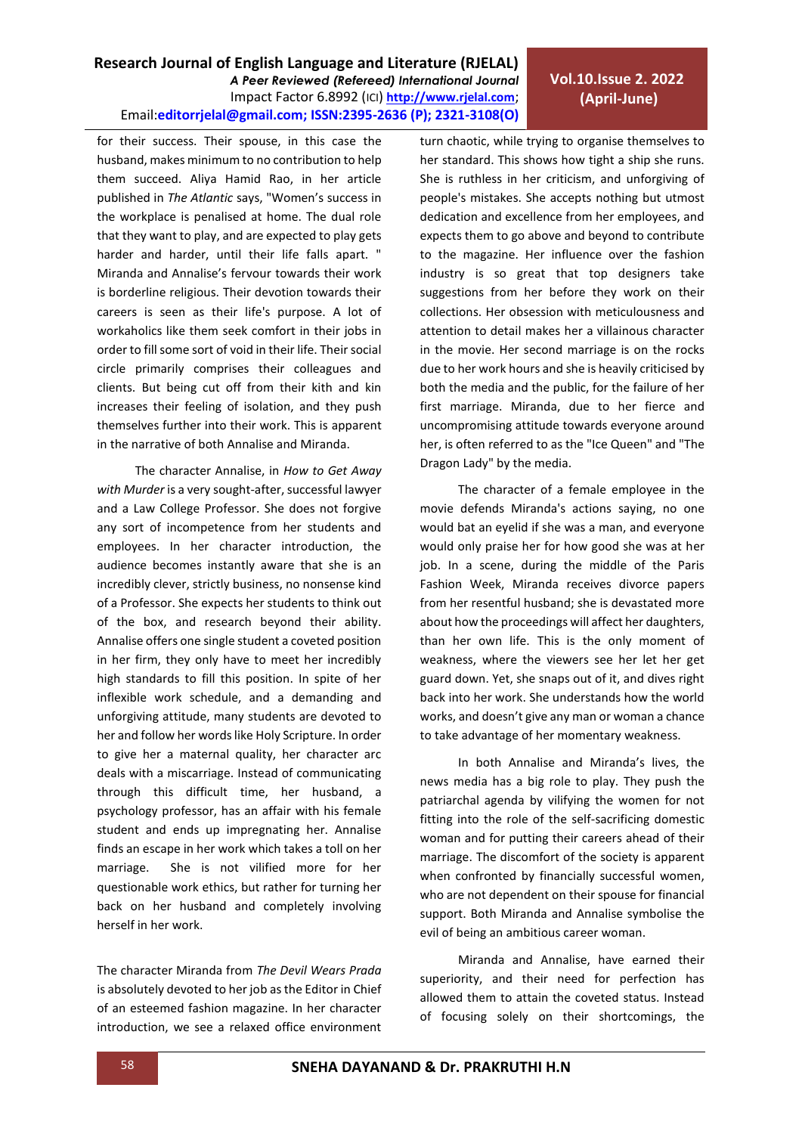# **Vol.10.Issue 2. 2022 (April-June)**

for their success. Their spouse, in this case the husband, makes minimum to no contribution to help them succeed. Aliya Hamid Rao, in her article published in *The Atlantic* says, "Women's success in the workplace is penalised at home. The dual role that they want to play, and are expected to play gets harder and harder, until their life falls apart. " Miranda and Annalise's fervour towards their work is borderline religious. Their devotion towards their careers is seen as their life's purpose. A lot of workaholics like them seek comfort in their jobs in order to fill some sort of void in their life. Their social circle primarily comprises their colleagues and clients. But being cut off from their kith and kin increases their feeling of isolation, and they push themselves further into their work. This is apparent in the narrative of both Annalise and Miranda.

The character Annalise, in *How to Get Away with Murder* is a very sought-after, successful lawyer and a Law College Professor. She does not forgive any sort of incompetence from her students and employees. In her character introduction, the audience becomes instantly aware that she is an incredibly clever, strictly business, no nonsense kind of a Professor. She expects her students to think out of the box, and research beyond their ability. Annalise offers one single student a coveted position in her firm, they only have to meet her incredibly high standards to fill this position. In spite of her inflexible work schedule, and a demanding and unforgiving attitude, many students are devoted to her and follow her words like Holy Scripture. In order to give her a maternal quality, her character arc deals with a miscarriage. Instead of communicating through this difficult time, her husband, a psychology professor, has an affair with his female student and ends up impregnating her. Annalise finds an escape in her work which takes a toll on her marriage. She is not vilified more for her questionable work ethics, but rather for turning her back on her husband and completely involving herself in her work.

The character Miranda from *The Devil Wears Prada* is absolutely devoted to her job as the Editor in Chief of an esteemed fashion magazine. In her character introduction, we see a relaxed office environment turn chaotic, while trying to organise themselves to her standard. This shows how tight a ship she runs. She is ruthless in her criticism, and unforgiving of people's mistakes. She accepts nothing but utmost dedication and excellence from her employees, and expects them to go above and beyond to contribute to the magazine. Her influence over the fashion industry is so great that top designers take suggestions from her before they work on their collections. Her obsession with meticulousness and attention to detail makes her a villainous character in the movie. Her second marriage is on the rocks due to her work hours and she is heavily criticised by both the media and the public, for the failure of her first marriage. Miranda, due to her fierce and uncompromising attitude towards everyone around her, is often referred to as the "Ice Queen" and "The Dragon Lady" by the media.

The character of a female employee in the movie defends Miranda's actions saying, no one would bat an eyelid if she was a man, and everyone would only praise her for how good she was at her job. In a scene, during the middle of the Paris Fashion Week, Miranda receives divorce papers from her resentful husband; she is devastated more about how the proceedings will affect her daughters, than her own life. This is the only moment of weakness, where the viewers see her let her get guard down. Yet, she snaps out of it, and dives right back into her work. She understands how the world works, and doesn't give any man or woman a chance to take advantage of her momentary weakness.

In both Annalise and Miranda's lives, the news media has a big role to play. They push the patriarchal agenda by vilifying the women for not fitting into the role of the self-sacrificing domestic woman and for putting their careers ahead of their marriage. The discomfort of the society is apparent when confronted by financially successful women, who are not dependent on their spouse for financial support. Both Miranda and Annalise symbolise the evil of being an ambitious career woman.

Miranda and Annalise, have earned their superiority, and their need for perfection has allowed them to attain the coveted status. Instead of focusing solely on their shortcomings, the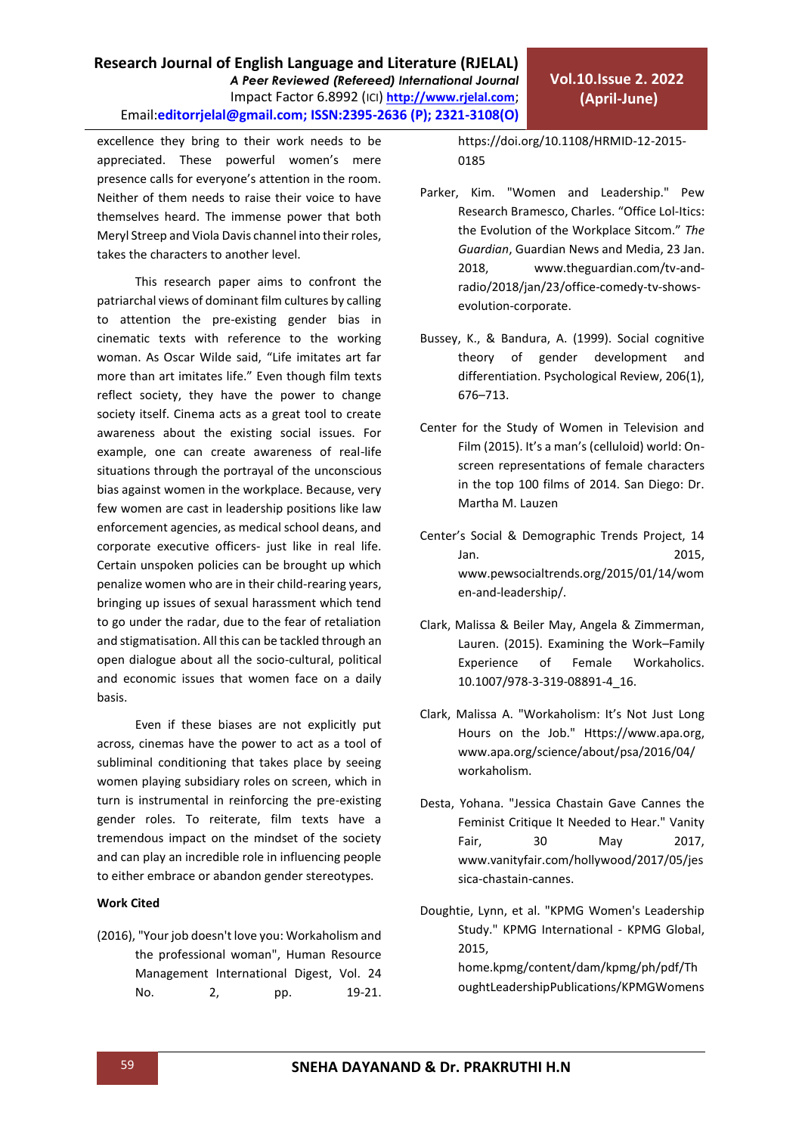excellence they bring to their work needs to be appreciated. These powerful women's mere presence calls for everyone's attention in the room. Neither of them needs to raise their voice to have themselves heard. The immense power that both Meryl Streep and Viola Davis channel into their roles, takes the characters to another level.

This research paper aims to confront the patriarchal views of dominant film cultures by calling to attention the pre-existing gender bias in cinematic texts with reference to the working woman. As Oscar Wilde said, "Life imitates art far more than art imitates life." Even though film texts reflect society, they have the power to change society itself. Cinema acts as a great tool to create awareness about the existing social issues. For example, one can create awareness of real-life situations through the portrayal of the unconscious bias against women in the workplace. Because, very few women are cast in leadership positions like law enforcement agencies, as medical school deans, and corporate executive officers- just like in real life. Certain unspoken policies can be brought up which penalize women who are in their child-rearing years, bringing up issues of sexual harassment which tend to go under the radar, due to the fear of retaliation and stigmatisation. All this can be tackled through an open dialogue about all the socio-cultural, political and economic issues that women face on a daily basis.

Even if these biases are not explicitly put across, cinemas have the power to act as a tool of subliminal conditioning that takes place by seeing women playing subsidiary roles on screen, which in turn is instrumental in reinforcing the pre-existing gender roles. To reiterate, film texts have a tremendous impact on the mindset of the society and can play an incredible role in influencing people to either embrace or abandon gender stereotypes.

## **Work Cited**

(2016), "Your job doesn't love you: Workaholism and the professional woman", [Human Resource](https://www.emerald.com/insight/publication/issn/0967-0734)  [Management International Digest,](https://www.emerald.com/insight/publication/issn/0967-0734) Vol. 24 No. 2, pp. 19-21.

[https://doi.org/10.1108/HRMID-12-2015-](https://doi.org/10.1108/HRMID-12-2015-0185) [0185](https://doi.org/10.1108/HRMID-12-2015-0185)

- Parker, Kim. "Women and Leadership." Pew Research Bramesco, Charles. "Office Lol-Itics: the Evolution of the Workplace Sitcom." *The Guardian*, Guardian News and Media, 23 Jan. 2018, [www.theguardian.com/tv-and](http://www.theguardian.com/tv-and-radio/2018/jan/23/office-comedy-tv-shows-evolution-corporate)[radio/2018/jan/23/office-comedy-tv-shows](http://www.theguardian.com/tv-and-radio/2018/jan/23/office-comedy-tv-shows-evolution-corporate)[evolution-corporate.](http://www.theguardian.com/tv-and-radio/2018/jan/23/office-comedy-tv-shows-evolution-corporate)
- Bussey, K., & Bandura, A. (1999). Social cognitive theory of gender development and differentiation. Psychological Review, 206(1), 676–713.
- Center for the Study of Women in Television and Film (2015). It's a man's (celluloid) world: Onscreen representations of female characters in the top 100 films of 2014. San Diego: Dr. Martha M. Lauzen
- Center's Social & Demographic Trends Project, 14 Jan. 2015, [www.pewsocialtrends.org/2015/01/14/wom](http://www.pewsocialtrends.org/2015/01/14/women-and-leadership/) [en-and-leadership/.](http://www.pewsocialtrends.org/2015/01/14/women-and-leadership/)
- Clark, Malissa & Beiler May, Angela & Zimmerman, Lauren. (2015). Examining the Work–Family Experience of Female Workaholics. 10.1007/978-3-319-08891-4\_16.
- Clark, Malissa A. "Workaholism: It's Not Just Long Hours on the Job." [Https://www.apa.org,](https://www.apa.org/) www.apa.org/science/about/psa/2016/04/ workaholism.
- Desta, Yohana. "Jessica Chastain Gave Cannes the Feminist Critique It Needed to Hear." Vanity Fair, 30 May 2017, [www.vanityfair.com/hollywood/2017/05/jes](http://www.vanityfair.com/hollywood/2017/05/jessica-chastain-cannes) [sica-chastain-cannes.](http://www.vanityfair.com/hollywood/2017/05/jessica-chastain-cannes)
- Doughtie, Lynn, et al. "KPMG Women's Leadership Study." KPMG International - KPMG Global, 2015, home.kpmg/content/dam/kpmg/ph/pdf/Th

oughtLeadershipPublications/KPMGWomens